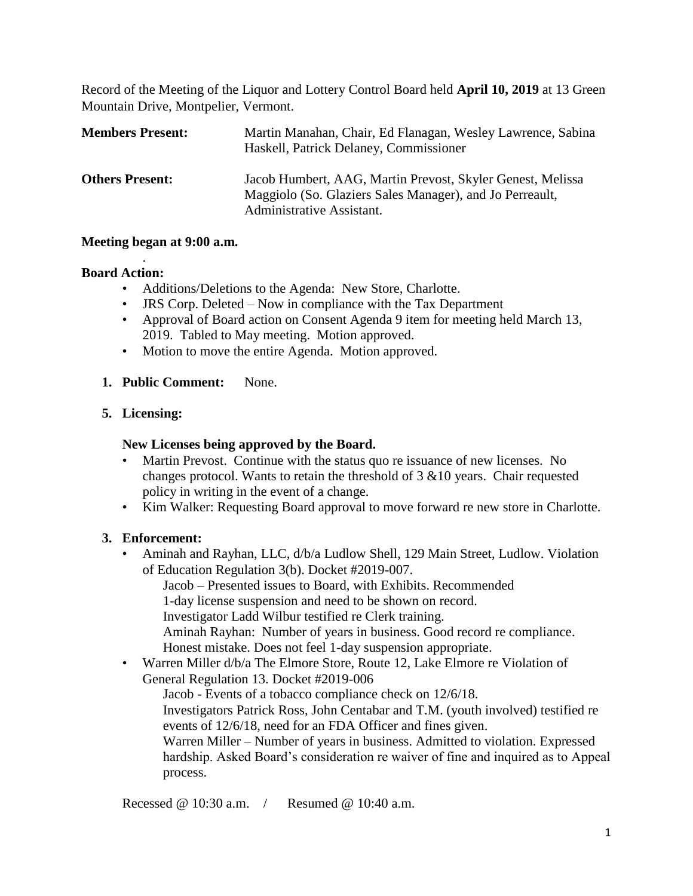Record of the Meeting of the Liquor and Lottery Control Board held **April 10, 2019** at 13 Green Mountain Drive, Montpelier, Vermont.

| <b>Members Present:</b> | Martin Manahan, Chair, Ed Flanagan, Wesley Lawrence, Sabina<br>Haskell, Patrick Delaney, Commissioner                  |
|-------------------------|------------------------------------------------------------------------------------------------------------------------|
| <b>Others Present:</b>  | Jacob Humbert, AAG, Martin Prevost, Skyler Genest, Melissa<br>Maggiolo (So. Glaziers Sales Manager), and Jo Perreault, |
|                         | Administrative Assistant.                                                                                              |

#### **Meeting began at 9:00 a.m.**

.

#### **Board Action:**

- Additions/Deletions to the Agenda: New Store, Charlotte.
- JRS Corp. Deleted Now in compliance with the Tax Department
- Approval of Board action on Consent Agenda 9 item for meeting held March 13, 2019. Tabled to May meeting. Motion approved.
- Motion to move the entire Agenda. Motion approved.
- **1. Public Comment:** None.

## **5. Licensing:**

## **New Licenses being approved by the Board.**

- Martin Prevost. Continue with the status quo re issuance of new licenses. No changes protocol. Wants to retain the threshold of 3 &10 years. Chair requested policy in writing in the event of a change.
- Kim Walker: Requesting Board approval to move forward re new store in Charlotte.

## **3. Enforcement:**

- Aminah and Rayhan, LLC, d/b/a Ludlow Shell, 129 Main Street, Ludlow. Violation of Education Regulation 3(b). Docket #2019-007.
	- Jacob Presented issues to Board, with Exhibits. Recommended
	- 1-day license suspension and need to be shown on record.
	- Investigator Ladd Wilbur testified re Clerk training.
	- Aminah Rayhan: Number of years in business. Good record re compliance. Honest mistake. Does not feel 1-day suspension appropriate.
- Warren Miller d/b/a The Elmore Store, Route 12, Lake Elmore re Violation of General Regulation 13. Docket #2019-006

Jacob - Events of a tobacco compliance check on 12/6/18. Investigators Patrick Ross, John Centabar and T.M. (youth involved) testified re events of 12/6/18, need for an FDA Officer and fines given. Warren Miller – Number of years in business. Admitted to violation. Expressed hardship. Asked Board's consideration re waiver of fine and inquired as to Appeal process.

Recessed @ 10:30 a.m. / Resumed @ 10:40 a.m.